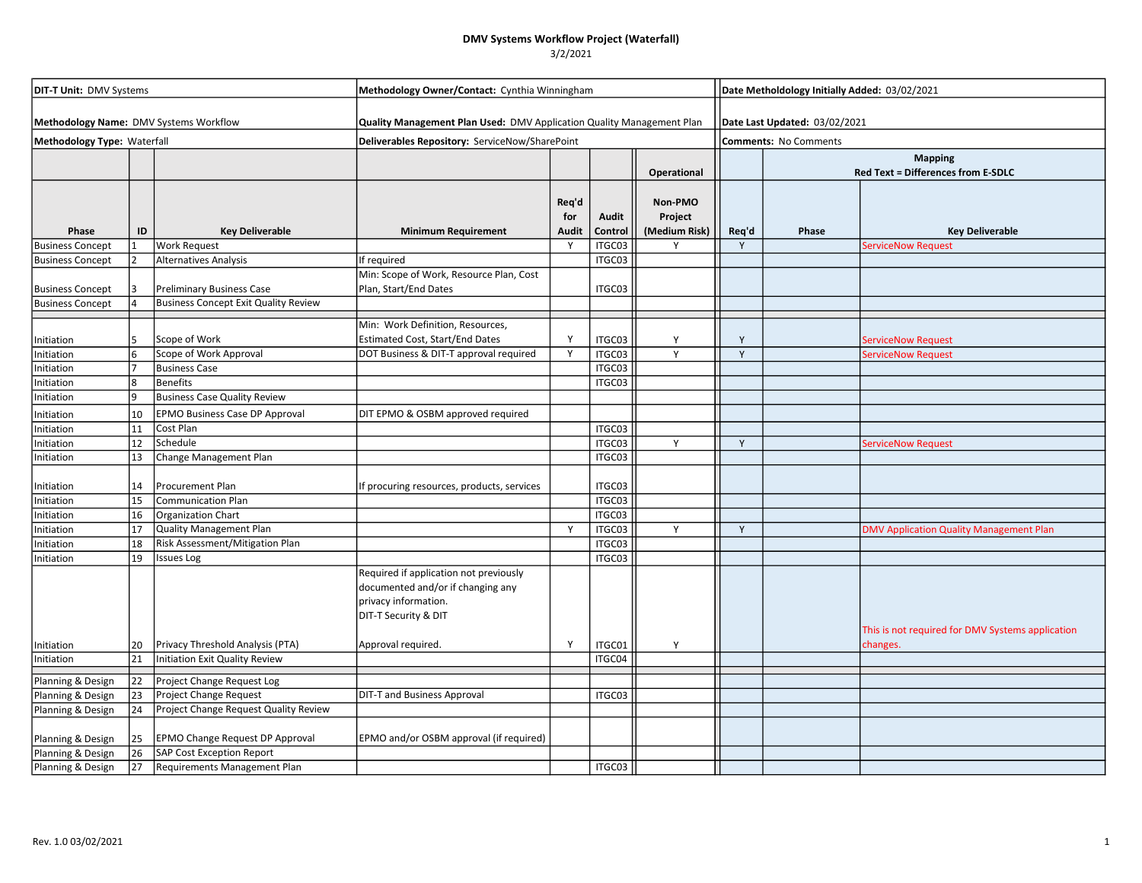## DMV Systems Workflow Project (Waterfall)

3/2/2021

| <b>DIT-T Unit: DMV Systems</b><br>Methodology Name: DMV Systems Workflow<br>Methodology Type: Waterfall |                              |                                             | Methodology Owner/Contact: Cynthia Winningham                                                                               |                              |                  |                                     |                                                               | Date Metholdology Initially Added: 03/02/2021 |                                                             |  |  |
|---------------------------------------------------------------------------------------------------------|------------------------------|---------------------------------------------|-----------------------------------------------------------------------------------------------------------------------------|------------------------------|------------------|-------------------------------------|---------------------------------------------------------------|-----------------------------------------------|-------------------------------------------------------------|--|--|
|                                                                                                         |                              |                                             | Quality Management Plan Used: DMV Application Quality Management Plan                                                       |                              |                  |                                     | Date Last Updated: 03/02/2021<br><b>Comments: No Comments</b> |                                               |                                                             |  |  |
|                                                                                                         |                              |                                             | Deliverables Repository: ServiceNow/SharePoint                                                                              |                              |                  |                                     |                                                               |                                               |                                                             |  |  |
|                                                                                                         |                              |                                             |                                                                                                                             |                              |                  | Operational                         |                                                               |                                               | <b>Mapping</b><br><b>Red Text = Differences from E-SDLC</b> |  |  |
| Phase                                                                                                   | ID                           | <b>Key Deliverable</b>                      | <b>Minimum Requirement</b>                                                                                                  | Req'd<br>for<br><b>Audit</b> | Audit<br>Control | Non-PMO<br>Project<br>(Medium Risk) | Req'd                                                         | Phase                                         | <b>Key Deliverable</b>                                      |  |  |
| <b>Business Concept</b>                                                                                 | 1                            | <b>Work Request</b>                         |                                                                                                                             | Y                            | ITGC03           | Y                                   | Y                                                             |                                               | <b>ServiceNow Request</b>                                   |  |  |
| <b>Business Concept</b>                                                                                 |                              | <b>Alternatives Analysis</b>                | If required                                                                                                                 |                              | ITGC03           |                                     |                                                               |                                               |                                                             |  |  |
| <b>Business Concept</b>                                                                                 | 3                            | <b>Preliminary Business Case</b>            | Min: Scope of Work, Resource Plan, Cost<br>Plan, Start/End Dates                                                            |                              | ITGC03           |                                     |                                                               |                                               |                                                             |  |  |
| <b>Business Concept</b>                                                                                 |                              | <b>Business Concept Exit Quality Review</b> |                                                                                                                             |                              |                  |                                     |                                                               |                                               |                                                             |  |  |
| Initiation                                                                                              |                              | Scope of Work                               | Min: Work Definition, Resources,<br>Estimated Cost, Start/End Dates                                                         | <b>V</b>                     | ITGC03           | Y                                   | Y                                                             |                                               | ServiceNow Request                                          |  |  |
| Initiation                                                                                              | 6                            | Scope of Work Approval                      | DOT Business & DIT-T approval required                                                                                      | $\mathsf{Y}$                 | ITGC03           | Y                                   | Y                                                             |                                               | ServiceNow Request                                          |  |  |
| Initiation                                                                                              |                              | <b>Business Case</b>                        |                                                                                                                             |                              | ITGC03           |                                     |                                                               |                                               |                                                             |  |  |
| Initiation                                                                                              | $\overline{\mathbf{g}}$<br>9 | <b>Benefits</b>                             |                                                                                                                             |                              | ITGC03           |                                     |                                                               |                                               |                                                             |  |  |
| Initiation                                                                                              |                              | <b>Business Case Quality Review</b>         |                                                                                                                             |                              |                  |                                     |                                                               |                                               |                                                             |  |  |
| Initiation                                                                                              | 10                           | <b>EPMO Business Case DP Approval</b>       | DIT EPMO & OSBM approved required                                                                                           |                              |                  |                                     |                                                               |                                               |                                                             |  |  |
| Initiation                                                                                              | 11                           | Cost Plan                                   |                                                                                                                             |                              | ITGC03           |                                     |                                                               |                                               |                                                             |  |  |
| Initiation                                                                                              | 12                           | Schedule                                    |                                                                                                                             |                              | ITGC03           | Y                                   | Y                                                             |                                               | ServiceNow Request                                          |  |  |
| Initiation                                                                                              | 13                           | Change Management Plan                      |                                                                                                                             |                              | ITGC03           |                                     |                                                               |                                               |                                                             |  |  |
| Initiation                                                                                              | 14                           | Procurement Plan                            | If procuring resources, products, services                                                                                  |                              | ITGC03           |                                     |                                                               |                                               |                                                             |  |  |
| Initiation                                                                                              | 15                           | <b>Communication Plan</b>                   |                                                                                                                             |                              | ITGC03           |                                     |                                                               |                                               |                                                             |  |  |
| Initiation                                                                                              | 16                           | Organization Chart                          |                                                                                                                             |                              | ITGC03           |                                     |                                                               |                                               |                                                             |  |  |
| Initiation                                                                                              | 17                           | Quality Management Plan                     |                                                                                                                             | Y                            | ITGC03           | Y                                   | Y                                                             |                                               | DMV Application Quality Management Plan                     |  |  |
| Initiation<br>Initiation                                                                                | 18<br>19                     | Risk Assessment/Mitigation Plan             |                                                                                                                             |                              | ITGC03<br>ITGC03 |                                     |                                                               |                                               |                                                             |  |  |
|                                                                                                         |                              | <b>Issues Log</b>                           | Required if application not previously<br>documented and/or if changing any<br>privacy information.<br>DIT-T Security & DIT |                              |                  |                                     |                                                               |                                               | This is not required for DMV Systems application            |  |  |
| Initiation                                                                                              | 20<br>$\overline{21}$        | Privacy Threshold Analysis (PTA)            | Approval required.                                                                                                          | Y                            | ITGC01           | Y                                   |                                                               |                                               | changes.                                                    |  |  |
| Initiation                                                                                              |                              | Initiation Exit Quality Review              |                                                                                                                             |                              | ITGC04           |                                     |                                                               |                                               |                                                             |  |  |
| Planning & Design                                                                                       | 22                           | Project Change Request Log                  |                                                                                                                             |                              |                  |                                     |                                                               |                                               |                                                             |  |  |
| Planning & Design                                                                                       | 23                           | Project Change Request                      | DIT-T and Business Approval                                                                                                 |                              | ITGC03           |                                     |                                                               |                                               |                                                             |  |  |
| Planning & Design                                                                                       | 24                           | Project Change Request Quality Review       |                                                                                                                             |                              |                  |                                     |                                                               |                                               |                                                             |  |  |
| Planning & Design                                                                                       | 25                           | EPMO Change Request DP Approval             | EPMO and/or OSBM approval (if required)                                                                                     |                              |                  |                                     |                                                               |                                               |                                                             |  |  |
| Planning & Design                                                                                       | 26                           | <b>SAP Cost Exception Report</b>            |                                                                                                                             |                              |                  |                                     |                                                               |                                               |                                                             |  |  |
| Planning & Design                                                                                       | 27                           | Requirements Management Plan                |                                                                                                                             |                              | ITGC03           |                                     |                                                               |                                               |                                                             |  |  |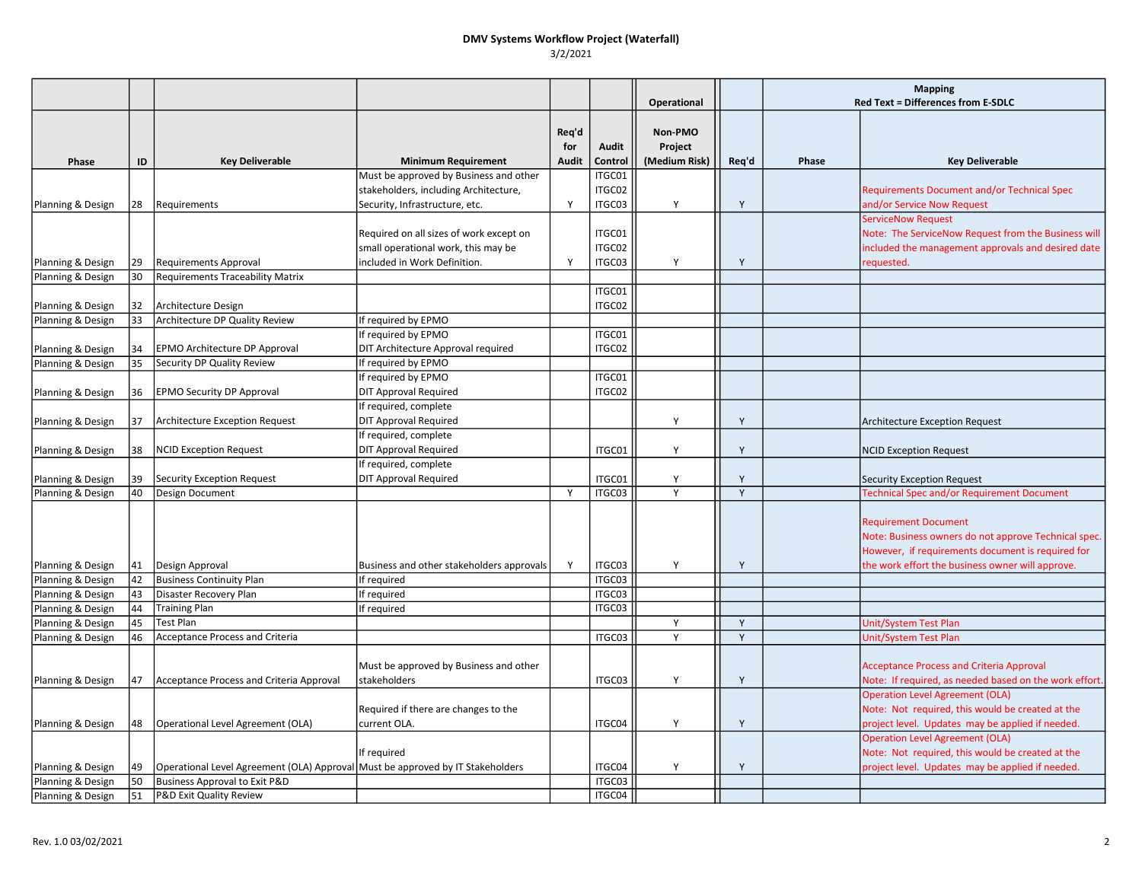### DMV Systems Workflow Project (Waterfall) 3/2/2021

|                   |    |                                                                                |                                                        |                              |                         | Operational                         |       | <b>Mapping</b><br>Red Text = Differences from E-SDLC |                                                                                                                                                                                              |
|-------------------|----|--------------------------------------------------------------------------------|--------------------------------------------------------|------------------------------|-------------------------|-------------------------------------|-------|------------------------------------------------------|----------------------------------------------------------------------------------------------------------------------------------------------------------------------------------------------|
| Phase             | ID | <b>Key Deliverable</b>                                                         | <b>Minimum Requirement</b>                             | Req'd<br>for<br><b>Audit</b> | <b>Audit</b><br>Control | Non-PMO<br>Project<br>(Medium Risk) | Req'd | Phase                                                | <b>Key Deliverable</b>                                                                                                                                                                       |
|                   |    |                                                                                | Must be approved by Business and other                 |                              | ITGC01                  |                                     |       |                                                      |                                                                                                                                                                                              |
|                   |    |                                                                                | stakeholders, including Architecture,                  |                              | ITGC02                  |                                     |       |                                                      | Requirements Document and/or Technical Spec                                                                                                                                                  |
| Planning & Design | 28 | Requirements                                                                   | Security, Infrastructure, etc.                         | Y                            | ITGC03                  | Y                                   | Y     |                                                      | and/or Service Now Request                                                                                                                                                                   |
|                   |    |                                                                                |                                                        |                              |                         |                                     |       |                                                      | <b>ServiceNow Request</b>                                                                                                                                                                    |
|                   |    |                                                                                | Required on all sizes of work except on                |                              | ITGC01                  |                                     |       |                                                      | Note: The ServiceNow Request from the Business will                                                                                                                                          |
|                   |    |                                                                                | small operational work, this may be                    |                              | ITGC02                  |                                     |       |                                                      | included the management approvals and desired date                                                                                                                                           |
| Planning & Design | 29 | <b>Requirements Approval</b>                                                   | included in Work Definition.                           | Y                            | ITGC03                  | Y                                   | Y     |                                                      | requested.                                                                                                                                                                                   |
| Planning & Design | 30 | <b>Requirements Traceability Matrix</b>                                        |                                                        |                              |                         |                                     |       |                                                      |                                                                                                                                                                                              |
|                   |    |                                                                                |                                                        |                              | ITGC01                  |                                     |       |                                                      |                                                                                                                                                                                              |
| Planning & Design | 32 | Architecture Design                                                            |                                                        |                              | ITGC02                  |                                     |       |                                                      |                                                                                                                                                                                              |
| Planning & Design | 33 | Architecture DP Quality Review                                                 | If required by EPMO                                    |                              |                         |                                     |       |                                                      |                                                                                                                                                                                              |
|                   |    |                                                                                | If required by EPMO                                    |                              | ITGC01                  |                                     |       |                                                      |                                                                                                                                                                                              |
| Planning & Design | 34 | EPMO Architecture DP Approval                                                  | DIT Architecture Approval required                     |                              | ITGC02                  |                                     |       |                                                      |                                                                                                                                                                                              |
| Planning & Design | 35 | Security DP Quality Review                                                     | If required by EPMO                                    |                              |                         |                                     |       |                                                      |                                                                                                                                                                                              |
|                   |    |                                                                                | If required by EPMO                                    |                              | ITGC01                  |                                     |       |                                                      |                                                                                                                                                                                              |
| Planning & Design | 36 | <b>EPMO Security DP Approval</b>                                               | <b>DIT Approval Required</b>                           |                              | ITGC02                  |                                     |       |                                                      |                                                                                                                                                                                              |
|                   |    |                                                                                | If required, complete                                  |                              |                         |                                     |       |                                                      |                                                                                                                                                                                              |
| Planning & Design | 37 | <b>Architecture Exception Request</b>                                          | <b>DIT Approval Required</b>                           |                              |                         | Y                                   | Y     |                                                      | <b>Architecture Exception Request</b>                                                                                                                                                        |
|                   |    |                                                                                | If required, complete                                  |                              |                         |                                     |       |                                                      |                                                                                                                                                                                              |
| Planning & Design | 38 | <b>NCID Exception Request</b>                                                  | <b>DIT Approval Required</b>                           |                              | ITGC01                  | Y                                   | Y     |                                                      | <b>NCID Exception Request</b>                                                                                                                                                                |
|                   |    |                                                                                | If required, complete                                  |                              |                         |                                     |       |                                                      |                                                                                                                                                                                              |
| Planning & Design | 39 | <b>Security Exception Request</b>                                              | <b>DIT Approval Required</b>                           |                              | ITGC01                  | Y                                   | Y     |                                                      | <b>Security Exception Request</b>                                                                                                                                                            |
| Planning & Design | 40 | Design Document                                                                |                                                        | $\mathsf{Y}$                 | ITGC03                  |                                     | Y     |                                                      | <b>Fechnical Spec and/or Requirement Document</b>                                                                                                                                            |
| Planning & Design | 41 | Design Approval                                                                | Business and other stakeholders approvals              | Y                            | ITGC03                  | Y                                   | Y     |                                                      | <b>Requirement Document</b><br>Note: Business owners do not approve Technical spec.<br>However, if requirements document is required for<br>the work effort the business owner will approve. |
| Planning & Design | 42 | <b>Business Continuity Plan</b>                                                | If required                                            |                              | ITGC03                  |                                     |       |                                                      |                                                                                                                                                                                              |
| Planning & Design | 43 | Disaster Recovery Plan                                                         | If required                                            |                              | ITGC03                  |                                     |       |                                                      |                                                                                                                                                                                              |
| Planning & Design | 44 | <b>Training Plan</b>                                                           | If required                                            |                              | ITGC03                  |                                     |       |                                                      |                                                                                                                                                                                              |
| Planning & Design | 45 | <b>Test Plan</b>                                                               |                                                        |                              |                         | Y                                   | Y     |                                                      | <b>Unit/System Test Plan</b>                                                                                                                                                                 |
| Planning & Design | 46 | Acceptance Process and Criteria                                                |                                                        |                              | ITGC03                  | Y                                   | Y     |                                                      | <b>Unit/System Test Plan</b>                                                                                                                                                                 |
| Planning & Design | 47 | Acceptance Process and Criteria Approval                                       | Must be approved by Business and other<br>stakeholders |                              | ITGC03                  | Y                                   | Y     |                                                      | <b>Acceptance Process and Criteria Approval</b><br>Note: If required, as needed based on the work effort.<br><b>Operation Level Agreement (OLA)</b>                                          |
|                   |    |                                                                                | Required if there are changes to the                   |                              |                         |                                     |       |                                                      | Note: Not required, this would be created at the                                                                                                                                             |
| Planning & Design | 48 | Operational Level Agreement (OLA)                                              | current OLA.                                           |                              | ITGC04                  | Y                                   | Y     |                                                      | project level. Updates may be applied if needed.                                                                                                                                             |
|                   |    |                                                                                |                                                        |                              |                         |                                     |       |                                                      | <b>Operation Level Agreement (OLA)</b>                                                                                                                                                       |
|                   |    |                                                                                | If required                                            |                              |                         |                                     |       |                                                      | Note: Not required, this would be created at the                                                                                                                                             |
| Planning & Design | 49 | Operational Level Agreement (OLA) Approval Must be approved by IT Stakeholders |                                                        |                              | ITGC04                  | Y                                   | Y     |                                                      | project level. Updates may be applied if needed.                                                                                                                                             |
| Planning & Design | 50 | <b>Business Approval to Exit P&amp;D</b>                                       |                                                        |                              | ITGC03                  |                                     |       |                                                      |                                                                                                                                                                                              |
| Planning & Design | 51 | P&D Exit Quality Review                                                        |                                                        |                              | ITGC04                  |                                     |       |                                                      |                                                                                                                                                                                              |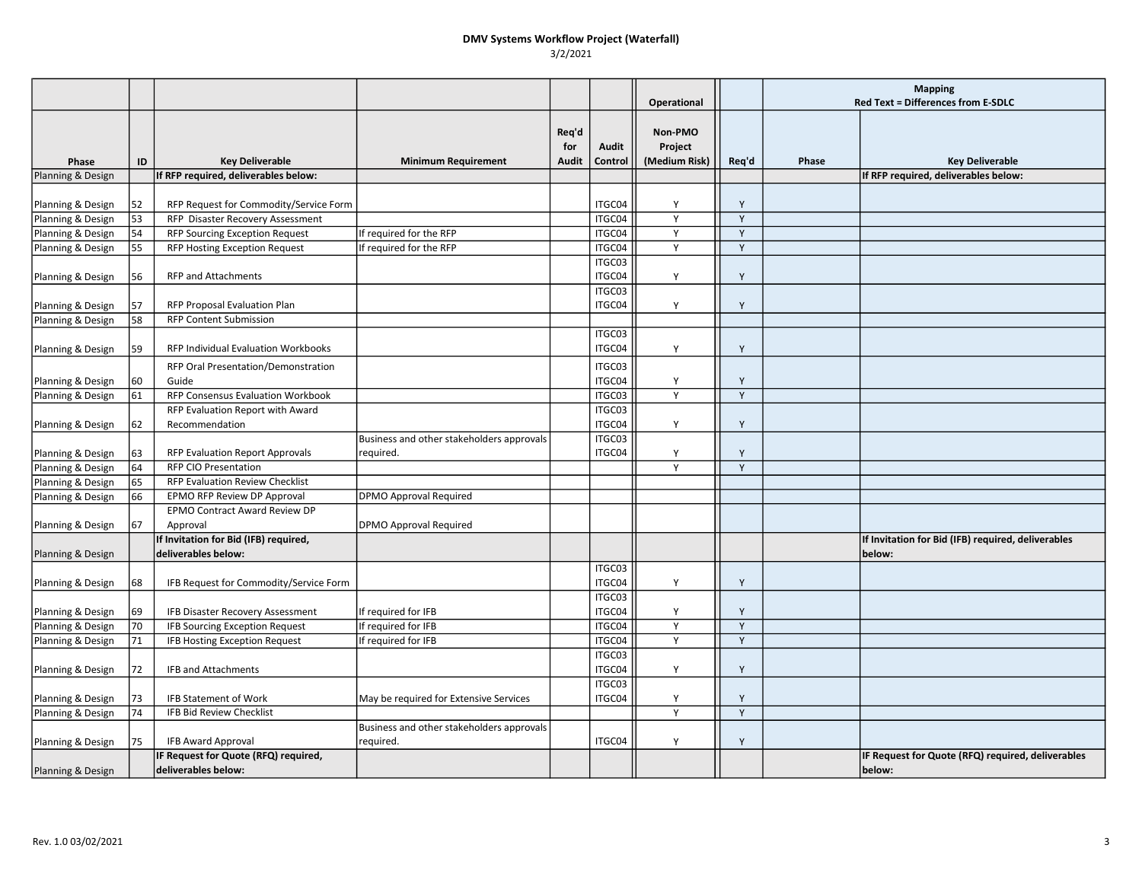### DMV Systems Workflow Project (Waterfall) 3/2/2021

|                   |    |                                                             |                                                        |                       |                  | Operational                         |              | <b>Mapping</b><br>Red Text = Differences from E-SDLC |                                                             |
|-------------------|----|-------------------------------------------------------------|--------------------------------------------------------|-----------------------|------------------|-------------------------------------|--------------|------------------------------------------------------|-------------------------------------------------------------|
| Phase             | ID | <b>Key Deliverable</b>                                      | <b>Minimum Requirement</b>                             | Req'd<br>for<br>Audit | Audit<br>Control | Non-PMO<br>Project<br>(Medium Risk) | Req'd        | Phase                                                | <b>Key Deliverable</b>                                      |
| Planning & Design |    | If RFP required, deliverables below:                        |                                                        |                       |                  |                                     |              |                                                      | If RFP required, deliverables below:                        |
| Planning & Design | 52 | RFP Request for Commodity/Service Form                      |                                                        |                       | ITGC04           | Y                                   | Y            |                                                      |                                                             |
| Planning & Design | 53 | RFP Disaster Recovery Assessment                            |                                                        |                       | ITGC04           | Y                                   | Y            |                                                      |                                                             |
| Planning & Design | 54 | <b>RFP Sourcing Exception Request</b>                       | If required for the RFP                                |                       | ITGC04           | Y                                   | Y            |                                                      |                                                             |
| Planning & Design | 55 | RFP Hosting Exception Request                               | If required for the RFP                                |                       | ITGC04           | Y                                   | $\mathsf{Y}$ |                                                      |                                                             |
| Planning & Design | 56 | <b>RFP and Attachments</b>                                  |                                                        |                       | ITGC03<br>ITGC04 | Y                                   | Y            |                                                      |                                                             |
| Planning & Design | 57 | RFP Proposal Evaluation Plan                                |                                                        |                       | ITGC03<br>ITGC04 | Y                                   | Y            |                                                      |                                                             |
| Planning & Design | 58 | <b>RFP Content Submission</b>                               |                                                        |                       |                  |                                     |              |                                                      |                                                             |
| Planning & Design | 59 | <b>RFP Individual Evaluation Workbooks</b>                  |                                                        |                       | ITGC03<br>ITGC04 | Y                                   | Y            |                                                      |                                                             |
| Planning & Design | 60 | RFP Oral Presentation/Demonstration<br>Guide                |                                                        |                       | ITGC03<br>ITGC04 | Y                                   | Y            |                                                      |                                                             |
|                   |    | RFP Consensus Evaluation Workbook                           |                                                        |                       | ITGC03           | Y                                   | Y            |                                                      |                                                             |
| Planning & Design | 61 |                                                             |                                                        |                       | ITGC03           |                                     |              |                                                      |                                                             |
| Planning & Design | 62 | RFP Evaluation Report with Award<br>Recommendation          |                                                        |                       | ITGC04           | Y                                   | Y            |                                                      |                                                             |
|                   |    |                                                             | Business and other stakeholders approvals              |                       | ITGC03           |                                     |              |                                                      |                                                             |
| Planning & Design | 63 | <b>RFP Evaluation Report Approvals</b>                      | required.                                              |                       | ITGC04           | Y                                   | Y            |                                                      |                                                             |
| Planning & Design | 64 | <b>RFP CIO Presentation</b>                                 |                                                        |                       |                  | Y                                   | Y            |                                                      |                                                             |
| Planning & Design | 65 | RFP Evaluation Review Checklist                             |                                                        |                       |                  |                                     |              |                                                      |                                                             |
| Planning & Design | 66 | <b>EPMO RFP Review DP Approval</b>                          | <b>DPMO Approval Required</b>                          |                       |                  |                                     |              |                                                      |                                                             |
| Planning & Design | 67 | EPMO Contract Award Review DP<br>Approval                   | <b>DPMO Approval Required</b>                          |                       |                  |                                     |              |                                                      |                                                             |
|                   |    | If Invitation for Bid (IFB) required,                       |                                                        |                       |                  |                                     |              |                                                      | If Invitation for Bid (IFB) required, deliverables          |
| Planning & Design |    | deliverables below:                                         |                                                        |                       |                  |                                     |              |                                                      | below:                                                      |
| Planning & Design | 68 | IFB Request for Commodity/Service Form                      |                                                        |                       | ITGC03<br>ITGC04 | Y                                   | Y            |                                                      |                                                             |
| Planning & Design | 69 | IFB Disaster Recovery Assessment                            | If required for IFB                                    |                       | ITGC03<br>ITGC04 | Y                                   | Y            |                                                      |                                                             |
| Planning & Design | 70 | <b>IFB Sourcing Exception Request</b>                       | If required for IFB                                    |                       | ITGC04           | Y                                   | Y            |                                                      |                                                             |
| Planning & Design | 71 | IFB Hosting Exception Request                               | If required for IFB                                    |                       | ITGC04           | Y                                   | Y            |                                                      |                                                             |
|                   |    |                                                             |                                                        |                       | ITGC03           |                                     |              |                                                      |                                                             |
| Planning & Design | 72 | IFB and Attachments                                         |                                                        |                       | ITGC04           | Y                                   | Y            |                                                      |                                                             |
| Planning & Design | 73 | IFB Statement of Work                                       | May be required for Extensive Services                 |                       | ITGC03<br>ITGC04 | Y                                   | Y            |                                                      |                                                             |
| Planning & Design | 74 | IFB Bid Review Checklist                                    |                                                        |                       |                  | Y                                   | Y            |                                                      |                                                             |
| Planning & Design | 75 | <b>IFB Award Approval</b>                                   | Business and other stakeholders approvals<br>required. |                       | ITGC04           | Y                                   | Y            |                                                      |                                                             |
| Planning & Design |    | IF Request for Quote (RFQ) required,<br>deliverables below: |                                                        |                       |                  |                                     |              |                                                      | IF Request for Quote (RFQ) required, deliverables<br>below: |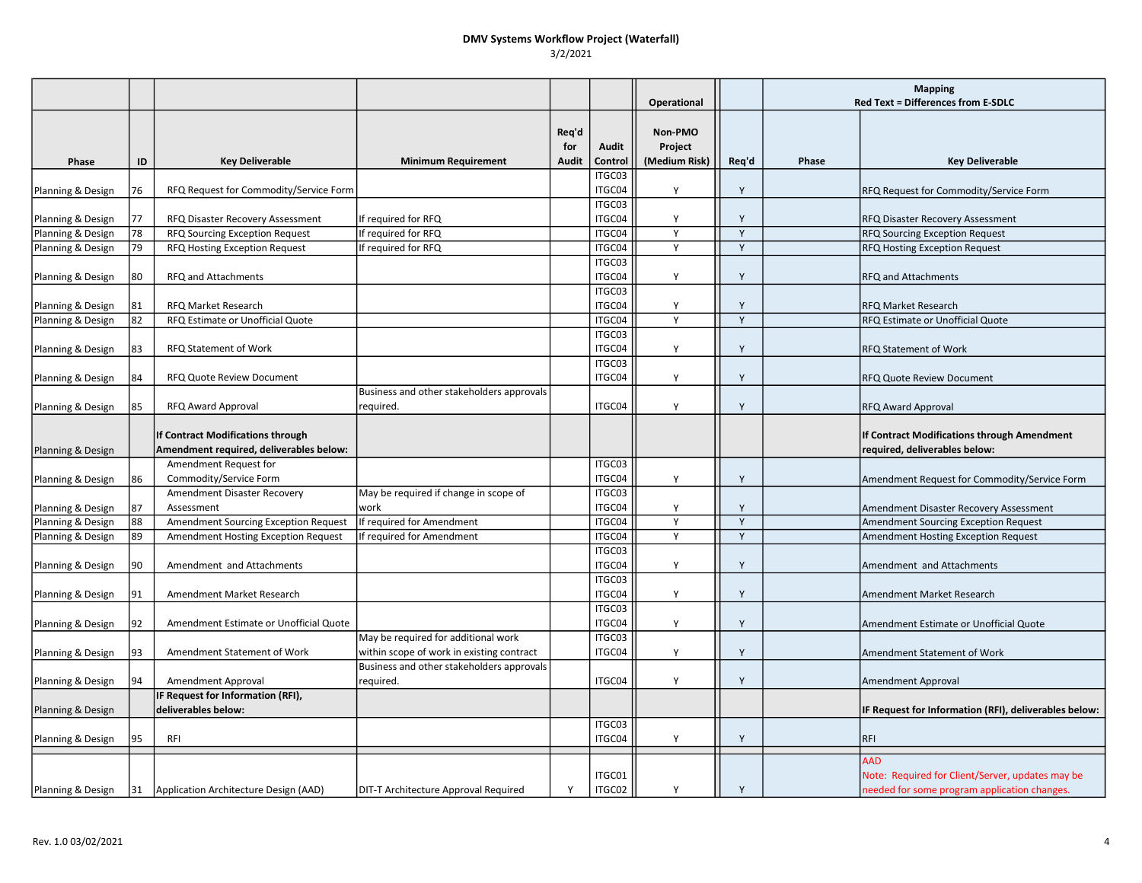### DMV Systems Workflow Project (Waterfall) 3/2/2021

|                   |    |                                                                              |                                                        |                       |                  | Operational                         |       | <b>Mapping</b><br><b>Red Text = Differences from E-SDLC</b> |                                                                                                  |
|-------------------|----|------------------------------------------------------------------------------|--------------------------------------------------------|-----------------------|------------------|-------------------------------------|-------|-------------------------------------------------------------|--------------------------------------------------------------------------------------------------|
| Phase             | ID | <b>Key Deliverable</b>                                                       | <b>Minimum Requirement</b>                             | Req'd<br>for<br>Audit | Audit<br>Control | Non-PMO<br>Project<br>(Medium Risk) | Req'd | Phase                                                       | <b>Key Deliverable</b>                                                                           |
| Planning & Design | 76 | RFQ Request for Commodity/Service Form                                       |                                                        |                       | ITGC03<br>ITGC04 | Y                                   | Y     |                                                             | RFQ Request for Commodity/Service Form                                                           |
| Planning & Design | 77 | RFQ Disaster Recovery Assessment                                             | If required for RFQ                                    |                       | ITGC03<br>ITGC04 | Y                                   | Y     |                                                             | RFQ Disaster Recovery Assessment                                                                 |
| Planning & Design | 78 | RFQ Sourcing Exception Request                                               | If required for RFQ                                    |                       | ITGC04           | Y                                   | Y     |                                                             | <b>RFQ Sourcing Exception Request</b>                                                            |
| Planning & Design | 79 | RFQ Hosting Exception Request                                                | f required for RFQ                                     |                       | ITGC04           | Y                                   | Y     |                                                             | RFQ Hosting Exception Request                                                                    |
| Planning & Design | 80 | RFQ and Attachments                                                          |                                                        |                       | ITGC03<br>ITGC04 | Y                                   | Y     |                                                             | <b>RFQ and Attachments</b>                                                                       |
| Planning & Design | 81 | RFQ Market Research                                                          |                                                        |                       | ITGC03<br>ITGC04 | Y                                   | Y     |                                                             | RFQ Market Research                                                                              |
| Planning & Design | 82 | RFQ Estimate or Unofficial Quote                                             |                                                        |                       | ITGC04           | Y                                   | Y     |                                                             | RFQ Estimate or Unofficial Quote                                                                 |
| Planning & Design | 83 | RFQ Statement of Work                                                        |                                                        |                       | ITGC03<br>ITGC04 | Y                                   | Y     |                                                             | <b>RFQ Statement of Work</b>                                                                     |
| Planning & Design | 84 | RFQ Quote Review Document                                                    |                                                        |                       | ITGC03<br>ITGC04 | Y                                   | Y     |                                                             | RFQ Quote Review Document                                                                        |
| Planning & Design | 85 | <b>RFQ Award Approval</b>                                                    | Business and other stakeholders approvals<br>required. |                       | ITGC04           | Y                                   | Y     |                                                             | RFQ Award Approval                                                                               |
| Planning & Design |    | If Contract Modifications through<br>Amendment required, deliverables below: |                                                        |                       |                  |                                     |       |                                                             | If Contract Modifications through Amendment<br>required, deliverables below:                     |
| Planning & Design | 86 | Amendment Request for<br>Commodity/Service Form                              |                                                        |                       | ITGC03<br>ITGC04 | Y                                   | Y     |                                                             | Amendment Request for Commodity/Service Form                                                     |
| Planning & Design | 87 | Amendment Disaster Recovery<br>Assessment                                    | May be required if change in scope of<br>work          |                       | ITGC03<br>ITGC04 | Y                                   | Y     |                                                             | Amendment Disaster Recovery Assessment                                                           |
| Planning & Design | 88 | Amendment Sourcing Exception Request                                         | If required for Amendment                              |                       | ITGC04           | Y                                   | Y     |                                                             | Amendment Sourcing Exception Request                                                             |
| Planning & Design | 89 | Amendment Hosting Exception Request                                          | If required for Amendment                              |                       | ITGC04           | Y                                   | Y     |                                                             | Amendment Hosting Exception Request                                                              |
|                   |    |                                                                              |                                                        |                       | ITGC03           |                                     |       |                                                             |                                                                                                  |
| Planning & Design | 90 | Amendment and Attachments                                                    |                                                        |                       | ITGC04           | Y                                   | Y     |                                                             | Amendment and Attachments                                                                        |
|                   | 91 | Amendment Market Research                                                    |                                                        |                       | ITGC03<br>ITGC04 | Y                                   | Y     |                                                             | Amendment Market Research                                                                        |
| Planning & Design |    |                                                                              |                                                        |                       | ITGC03           |                                     |       |                                                             |                                                                                                  |
| Planning & Design | 92 | Amendment Estimate or Unofficial Quote                                       |                                                        |                       | ITGC04           | Y                                   | Y     |                                                             | Amendment Estimate or Unofficial Quote                                                           |
|                   |    |                                                                              | May be required for additional work                    |                       | ITGC03           |                                     |       |                                                             |                                                                                                  |
| Planning & Design | 93 | Amendment Statement of Work                                                  | within scope of work in existing contract              |                       | ITGC04           | Y                                   | Y     |                                                             | Amendment Statement of Work                                                                      |
|                   |    |                                                                              | Business and other stakeholders approvals              |                       |                  |                                     |       |                                                             |                                                                                                  |
| Planning & Design | 94 | Amendment Approval                                                           | required.                                              |                       | ITGC04           | Y                                   | Y     |                                                             | <b>Amendment Approval</b>                                                                        |
| Planning & Design |    | IF Request for Information (RFI),<br>deliverables below:                     |                                                        |                       |                  |                                     |       |                                                             | IF Request for Information (RFI), deliverables below:                                            |
| Planning & Design | 95 | RFI                                                                          |                                                        |                       | ITGC03<br>ITGC04 | Y                                   | Y     |                                                             | <b>RFI</b>                                                                                       |
|                   |    |                                                                              |                                                        |                       |                  |                                     |       |                                                             | <b>AAD</b>                                                                                       |
| Planning & Design |    | 31   Application Architecture Design (AAD)                                   | DIT-T Architecture Approval Required                   | Y                     | ITGC01<br>ITGC02 | Y                                   | Y     |                                                             | Note: Required for Client/Server, updates may be<br>needed for some program application changes. |